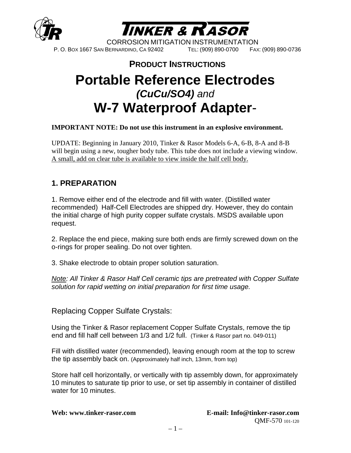



CORROSION MITIGATION INSTRUMENTATION P. O. BOX 1667 SAN BERNARDINO, CA 92402 TEL: (909) 890-0700 FAX: (909) 890-0736

## **PRODUCT INSTRUCTIONS**

# **Portable Reference Electrodes**  *(CuCu/SO4) and* **W-7 Waterproof Adapter**-

#### **IMPORTANT NOTE: Do not use this instrument in an explosive environment.**

UPDATE: Beginning in January 2010, Tinker & Rasor Models 6-A, 6-B, 8-A and 8-B will begin using a new, tougher body tube. This tube does not include a viewing window. A small, add on clear tube is available to view inside the half cell body.

#### **1. PREPARATION**

1. Remove either end of the electrode and fill with water. (Distilled water recommended) Half-Cell Electrodes are shipped dry. However, they do contain the initial charge of high purity copper sulfate crystals. MSDS available upon request.

2. Replace the end piece, making sure both ends are firmly screwed down on the o-rings for proper sealing. Do not over tighten.

3. Shake electrode to obtain proper solution saturation.

*Note: All Tinker & Rasor Half Cell ceramic tips are pretreated with Copper Sulfate solution for rapid wetting on initial preparation for first time usage.*

Replacing Copper Sulfate Crystals:

Using the Tinker & Rasor replacement Copper Sulfate Crystals, remove the tip end and fill half cell between 1/3 and 1/2 full. (Tinker & Rasor part no. 049-011)

Fill with distilled water (recommended), leaving enough room at the top to screw the tip assembly back on. (Approximately half inch, 13mm, from top)

Store half cell horizontally, or vertically with tip assembly down, for approximately 10 minutes to saturate tip prior to use, or set tip assembly in container of distilled water for 10 minutes.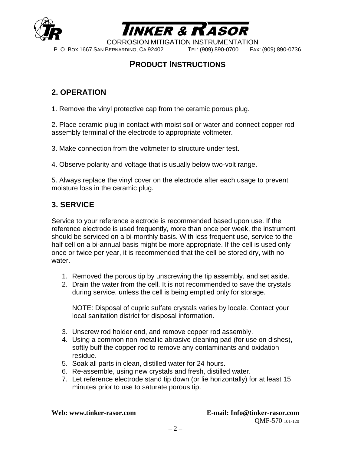



CORROSION MITIGATION INSTRUMENTATION

P. O. BOX 1667 SAN BERNARDINO, CA 92402 TEL: (909) 890-0700 FAX: (909) 890-0736

### **PRODUCT INSTRUCTIONS**

### **2. OPERATION**

1. Remove the vinyl protective cap from the ceramic porous plug.

2. Place ceramic plug in contact with moist soil or water and connect copper rod assembly terminal of the electrode to appropriate voltmeter.

3. Make connection from the voltmeter to structure under test.

4. Observe polarity and voltage that is usually below two-volt range.

5. Always replace the vinyl cover on the electrode after each usage to prevent moisture loss in the ceramic plug.

#### **3. SERVICE**

Service to your reference electrode is recommended based upon use. If the reference electrode is used frequently, more than once per week, the instrument should be serviced on a bi-monthly basis. With less frequent use, service to the half cell on a bi-annual basis might be more appropriate. If the cell is used only once or twice per year, it is recommended that the cell be stored dry, with no water.

- 1. Removed the porous tip by unscrewing the tip assembly, and set aside.
- 2. Drain the water from the cell. It is not recommended to save the crystals during service, unless the cell is being emptied only for storage.

NOTE: Disposal of cupric sulfate crystals varies by locale. Contact your local sanitation district for disposal information.

- 3. Unscrew rod holder end, and remove copper rod assembly.
- 4. Using a common non-metallic abrasive cleaning pad (for use on dishes), softly buff the copper rod to remove any contaminants and oxidation residue.
- 5. Soak all parts in clean, distilled water for 24 hours.
- 6. Re-assemble, using new crystals and fresh, distilled water.
- 7. Let reference electrode stand tip down (or lie horizontally) for at least 15 minutes prior to use to saturate porous tip.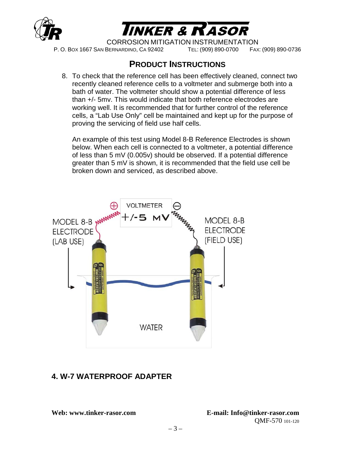



CORROSION MITIGATION INSTRUMENTATION

P. O. BOX 1667 SAN BERNARDINO, CA 92402 TEL: (909) 890-0700 FAX: (909) 890-0736

#### **PRODUCT INSTRUCTIONS**

8. To check that the reference cell has been effectively cleaned, connect two recently cleaned reference cells to a voltmeter and submerge both into a bath of water. The voltmeter should show a potential difference of less than +/- 5mv. This would indicate that both reference electrodes are working well. It is recommended that for further control of the reference cells, a "Lab Use Only" cell be maintained and kept up for the purpose of proving the servicing of field use half cells.

An example of this test using Model 8-B Reference Electrodes is shown below. When each cell is connected to a voltmeter, a potential difference of less than 5 mV (0.005v) should be observed. If a potential difference greater than 5 mV is shown, it is recommended that the field use cell be broken down and serviced, as described above.



#### **4. W-7 WATERPROOF ADAPTER**